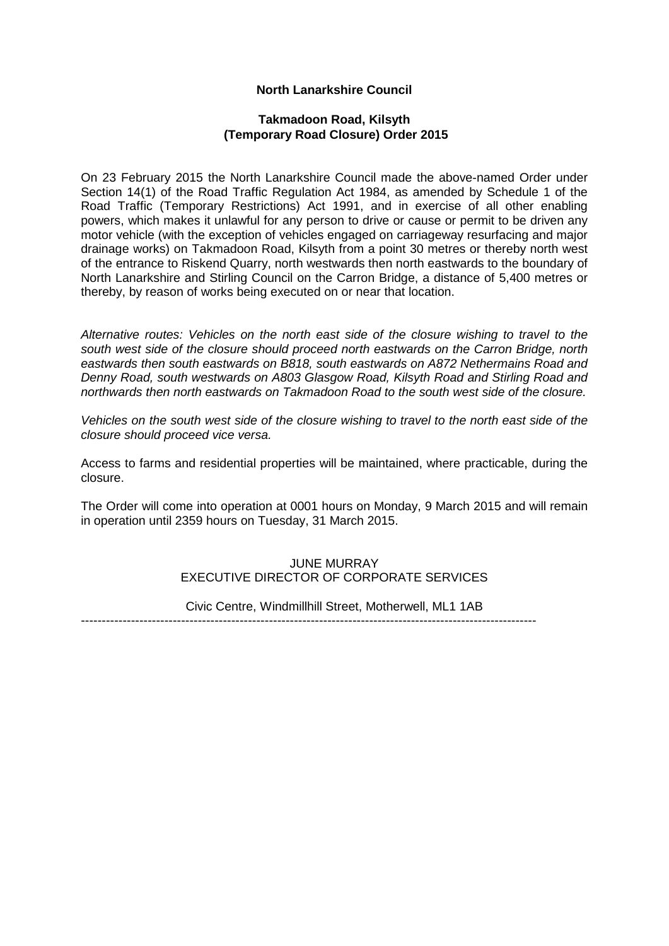# **North Lanarkshire Council**

## **Takmadoon Road, Kilsyth (Temporary Road Closure) Order 2015**

On 23 February 2015 the North Lanarkshire Council made the above-named Order under Section 14(1) of the Road Traffic Regulation Act 1984, as amended by Schedule 1 of the Road Traffic (Temporary Restrictions) Act 1991, and in exercise of all other enabling powers, which makes it unlawful for any person to drive or cause or permit to be driven any motor vehicle (with the exception of vehicles engaged on carriageway resurfacing and major drainage works) on Takmadoon Road, Kilsyth from a point 30 metres or thereby north west of the entrance to Riskend Quarry, north westwards then north eastwards to the boundary of North Lanarkshire and Stirling Council on the Carron Bridge, a distance of 5,400 metres or thereby, by reason of works being executed on or near that location.

*Alternative routes: Vehicles on the north east side of the closure wishing to travel to the south west side of the closure should proceed north eastwards on the Carron Bridge, north eastwards then south eastwards on B818, south eastwards on A872 Nethermains Road and Denny Road, south westwards on A803 Glasgow Road, Kilsyth Road and Stirling Road and northwards then north eastwards on Takmadoon Road to the south west side of the closure.*

*Vehicles on the south west side of the closure wishing to travel to the north east side of the closure should proceed vice versa.* 

Access to farms and residential properties will be maintained, where practicable, during the closure.

The Order will come into operation at 0001 hours on Monday, 9 March 2015 and will remain in operation until 2359 hours on Tuesday, 31 March 2015.

## JUNE MURRAY EXECUTIVE DIRECTOR OF CORPORATE SERVICES

Civic Centre, Windmillhill Street, Motherwell, ML1 1AB

-------------------------------------------------------------------------------------------------------------